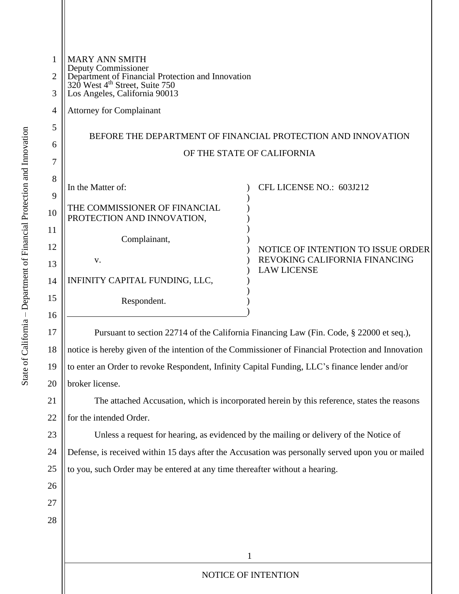| $\mathbf{1}$        | <b>MARY ANN SMITH</b><br>Deputy Commissioner                                                                                     |  |  |
|---------------------|----------------------------------------------------------------------------------------------------------------------------------|--|--|
| $\overline{2}$<br>3 | Department of Financial Protection and Innovation<br>320 West 4 <sup>th</sup> Street, Suite 750<br>Los Angeles, California 90013 |  |  |
| $\overline{4}$      | <b>Attorney for Complainant</b>                                                                                                  |  |  |
| 5                   |                                                                                                                                  |  |  |
| 6                   | BEFORE THE DEPARTMENT OF FINANCIAL PROTECTION AND INNOVATION                                                                     |  |  |
| 7                   | OF THE STATE OF CALIFORNIA                                                                                                       |  |  |
| 8                   |                                                                                                                                  |  |  |
| 9                   | In the Matter of:<br>CFL LICENSE NO.: 603J212                                                                                    |  |  |
| 10                  | THE COMMISSIONER OF FINANCIAL<br>PROTECTION AND INNOVATION,                                                                      |  |  |
| 11                  | Complainant,                                                                                                                     |  |  |
| 12                  | NOTICE OF INTENTION TO ISSUE ORDER<br>REVOKING CALIFORNIA FINANCING                                                              |  |  |
| 13                  | V.<br><b>LAW LICENSE</b>                                                                                                         |  |  |
| 14                  | INFINITY CAPITAL FUNDING, LLC,                                                                                                   |  |  |
| 15<br>16            | Respondent.                                                                                                                      |  |  |
| 17                  | Pursuant to section 22714 of the California Financing Law (Fin. Code, § 22000 et seq.),                                          |  |  |
| 18                  | notice is hereby given of the intention of the Commissioner of Financial Protection and Innovation                               |  |  |
| 19                  | to enter an Order to revoke Respondent, Infinity Capital Funding, LLC's finance lender and/or                                    |  |  |
| 20                  | broker license.                                                                                                                  |  |  |
| 21                  | The attached Accusation, which is incorporated herein by this reference, states the reasons                                      |  |  |
| 22                  | for the intended Order.                                                                                                          |  |  |
| 23                  | Unless a request for hearing, as evidenced by the mailing or delivery of the Notice of                                           |  |  |
| 24                  | Defense, is received within 15 days after the Accusation was personally served upon you or mailed                                |  |  |
| 25                  | to you, such Order may be entered at any time thereafter without a hearing.                                                      |  |  |
| 26                  |                                                                                                                                  |  |  |
| 27                  |                                                                                                                                  |  |  |
| 28                  |                                                                                                                                  |  |  |
|                     |                                                                                                                                  |  |  |
|                     | 1                                                                                                                                |  |  |
|                     | NOTICE OF INTENTION                                                                                                              |  |  |